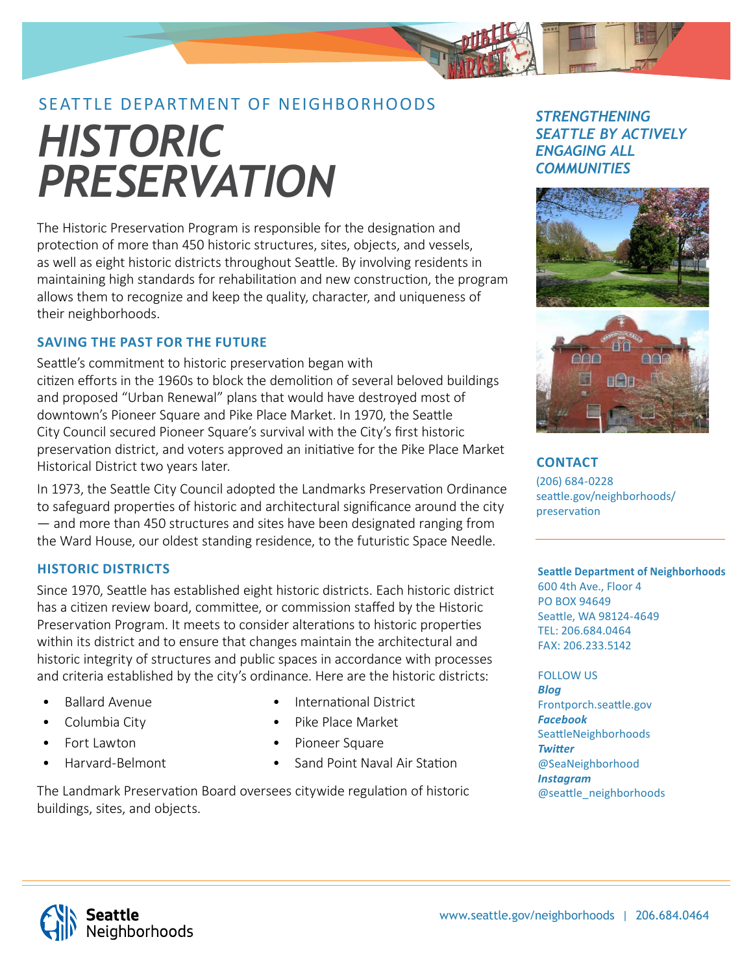# SEATTLE DEPARTMENT OF NEIGHBORHOODS *HISTORIC PRESERVATION*

The Historic Preservation Program is responsible for the designation and protection of more than 450 historic structures, sites, objects, and vessels, as well as eight historic districts throughout Seattle. By involving residents in maintaining high standards for rehabilitation and new construction, the program allows them to recognize and keep the quality, character, and uniqueness of their neighborhoods.

# **SAVING THE PAST FOR THE FUTURE**

Seattle's commitment to historic preservation began with citizen efforts in the 1960s to block the demolition of several beloved buildings and proposed "Urban Renewal" plans that would have destroyed most of downtown's Pioneer Square and Pike Place Market. In 1970, the Seattle City Council secured Pioneer Square's survival with the City's first historic preservation district, and voters approved an initiative for the Pike Place Market Historical District two years later.

In 1973, the Seattle City Council adopted the Landmarks Preservation Ordinance to safeguard properties of historic and architectural significance around the city — and more than 450 structures and sites have been designated ranging from the Ward House, our oldest standing residence, to the futuristic Space Needle.

# **HISTORIC DISTRICTS**

Since 1970, Seattle has established eight historic districts. Each historic district has a citizen review board, committee, or commission staffed by the Historic Preservation Program. It meets to consider alterations to historic properties within its district and to ensure that changes maintain the architectural and historic integrity of structures and public spaces in accordance with processes and criteria established by the city's ordinance. Here are the historic districts:

- Ballard Avenue
- Columbia City
- Fort Lawton
- Harvard-Belmont
- International District
- Pike Place Market
- Pioneer Square
- Sand Point Naval Air Station

The Landmark Preservation Board oversees citywide regulation of historic buildings, sites, and objects.

# *STRENGTHENING SEATTLE BY ACTIVELY ENGAGING ALL COMMUNITIES*



**CONTACT** (206) 684-0228 seattle.gov/neighborhoods/ preservation

### **Seattle Department of Neighborhoods**

600 4th Ave., Floor 4 PO BOX 94649 Seattle, WA 98124-4649 TEL: 206.684.0464 FAX: 206.233.5142

#### FOLLOW US

*Blog* Frontporch.seattle.gov *Facebook* **SeattleNeighborhoods** *Twitt er* @SeaNeighborhood *Instagram* @seattle\_neighborhoods